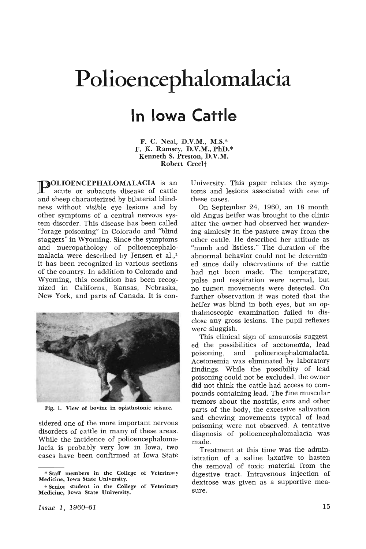## **Polioencephalomalacia In Iowa Cattle**

F. C. Neal, D.V.M., M.S.\* F. K. Ramsey, D.V.M., PhD.\* Kenneth S. Preston, D.V.M. Robert Creel<sup>+</sup>

**POLIOENCEPHALOMALACIA** is an acute or subacute disease of cattle and sheep characterized by bilaterial blindness without visible eye lesions and by other symptoms of a central nervous system disorder. This disease has been called "forage poisoning" in Colorado and "blind staggers" in Wyoming. Since the symptoms and nueropathology of polioencephalomalacia were described by Jensen et al.,<sup>1</sup> it has been recognized in various sections of the country. In addition to Colorado and Wyoming, this condition has been recognized in Californa, Kansas, Nebraska, New York, and parts of Canada. It is con-



Fig. 1. View of bovine in opisthotonic seisure.

sidered one of the more important nervous disorders of cattle in many of these areas. While the incidence of polioencephalomalacia is probably very low in Iowa, two cases have been confirmed at Iowa State University. This paper relates the symptoms and lesions associated with one of these cases.

On September 24, 1960, an 18 month old Angus heifer was brought to the clinic after the owner had observed her wandering aimlesly in the pasture away from the other cattle. He described her attitude as "numb and listless." The duration of the abnormal behavior could not be determined since daily observations of the cattle had not been made. The temperature, pulse and respiration were normal, but no rumen movements were detected. On further observation it was noted that the heifer was blind in both eyes, but an opthalmoscopic examination failed to disclose any gross lesions. The pupil reflexes were sluggish.

This clinical sign of amaurosis suggested the possibilities of acetonemia, lead poisoning, and polioencephalomalacia. Acetonemia was eliminated by laboratory findings. While the possibility of lead poisoning could not be excluded, the owner did not think the cattle had access to compounds containing lead. The fine muscular tremors about the nostrils, ears and other parts of the body, the excessive salivation and chewing movements typical of lead poisoning were not observed. A tentative diagnosis of polioencephalomalacia was made.

Treatment at this time was the administration of a saline laxative to hasten the removal of toxic material from the digestive tract. Intravenous injection of dextrose was given as a supportive measure.

<sup>\*</sup> Staff members in the College of Veterinary Medicine, Iowa State University.

t Senior student in the College of Veterinary Medicine, Iowa State University.